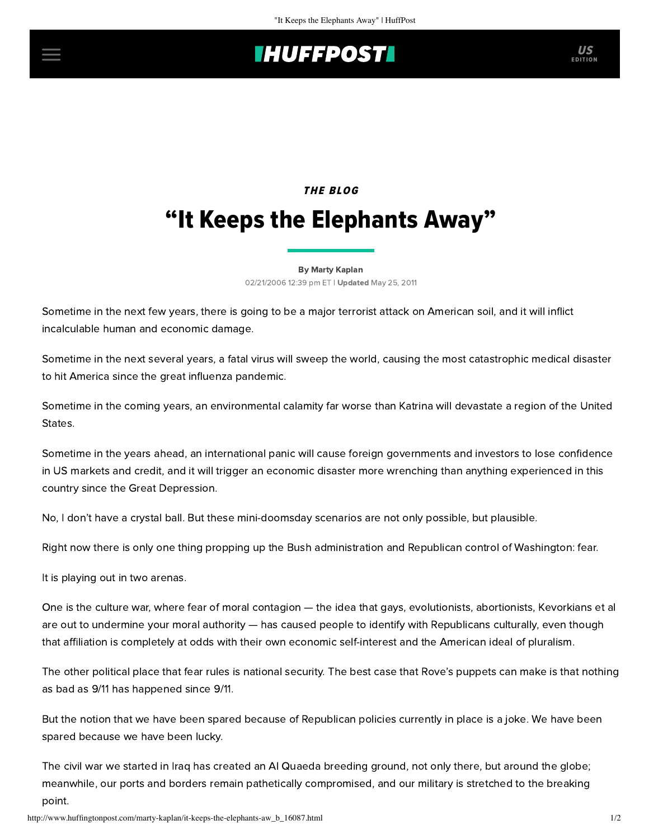## **IHUFFPOSTI**

## **THE BLOG** "It Keeps the Elephants Away"

[By Marty Kaplan](http://www.huffingtonpost.com/author/marty-kaplan)

02/21/2006 12:39 pm ET | Updated May 25, 2011

Sometime in the next few years, there is going to be a major terrorist attack on American soil, and it will inflict incalculable human and economic damage.

Sometime in the next several years, a fatal virus will sweep the world, causing the most catastrophic medical disaster to hit America since the great influenza pandemic.

Sometime in the coming years, an environmental calamity far worse than Katrina will devastate a region of the United States.

Sometime in the years ahead, an international panic will cause foreign governments and investors to lose confidence in US markets and credit, and it will trigger an economic disaster more wrenching than anything experienced in this country since the Great Depression.

No, I don't have a crystal ball. But these mini-doomsday scenarios are not only possible, but plausible.

Right now there is only one thing propping up the Bush administration and Republican control of Washington: fear.

It is playing out in two arenas.

One is the culture war, where fear of moral contagion — the idea that gays, evolutionists, abortionists, Kevorkians et al are out to undermine your moral authority — has caused people to identify with Republicans culturally, even though that affiliation is completely at odds with their own economic self-interest and the American ideal of pluralism.

The other political place that fear rules is national security. The best case that Rove's puppets can make is that nothing as bad as 9/11 has happened since 9/11.

But the notion that we have been spared because of Republican policies currently in place is a joke. We have been spared because we have been lucky.

The civil war we started in Iraq has created an Al Quaeda breeding ground, not only there, but around the globe; meanwhile, our ports and borders remain pathetically compromised, and our military is stretched to the breaking point.